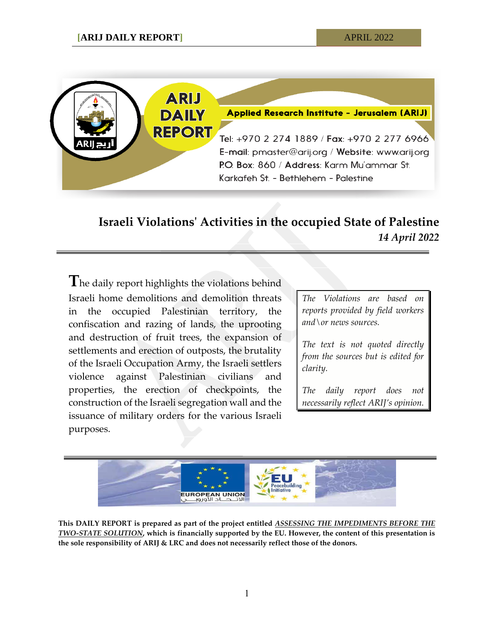

## **Israeli Violations' Activities in the occupied State of Palestine** *14 April 2022*

**T**he daily report highlights the violations behind Israeli home demolitions and demolition threats in the occupied Palestinian territory, the confiscation and razing of lands, the uprooting and destruction of fruit trees, the expansion of settlements and erection of outposts, the brutality of the Israeli Occupation Army, the Israeli settlers violence against Palestinian civilians and properties, the erection of checkpoints, the construction of the Israeli segregation wall and the issuance of military orders for the various Israeli purposes.

*The Violations are based on reports provided by field workers and\or news sources.*

*The text is not quoted directly from the sources but is edited for clarity.*

*The daily report does not necessarily reflect ARIJ's opinion.*



**This DAILY REPORT is prepared as part of the project entitled** *ASSESSING THE IMPEDIMENTS BEFORE THE TWO-STATE SOLUTION***, which is financially supported by the EU. However, the content of this presentation is the sole responsibility of ARIJ & LRC and does not necessarily reflect those of the donors.**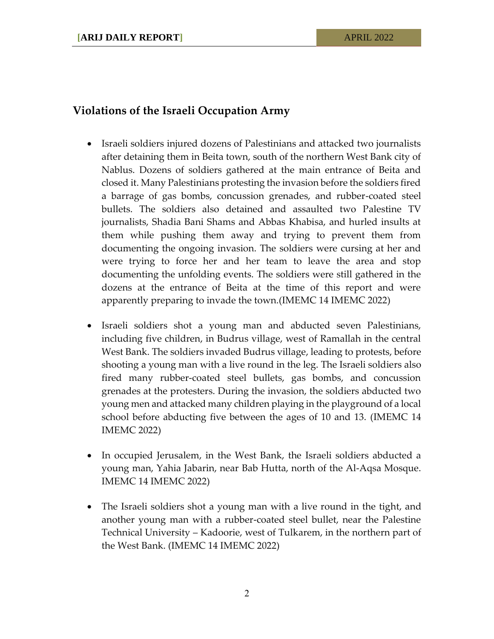## **Violations of the Israeli Occupation Army**

- Israeli soldiers injured dozens of Palestinians and attacked two journalists after detaining them in Beita town, south of the northern West Bank city of Nablus. Dozens of soldiers gathered at the main entrance of Beita and closed it. Many Palestinians protesting the invasion before the soldiers fired a barrage of gas bombs, concussion grenades, and rubber-coated steel bullets. The soldiers also detained and assaulted two Palestine TV journalists, Shadia Bani Shams and Abbas Khabisa, and hurled insults at them while pushing them away and trying to prevent them from documenting the ongoing invasion. The soldiers were cursing at her and were trying to force her and her team to leave the area and stop documenting the unfolding events. The soldiers were still gathered in the dozens at the entrance of Beita at the time of this report and were apparently preparing to invade the town.(IMEMC 14 IMEMC 2022)
- Israeli soldiers shot a young man and abducted seven Palestinians, including five children, in Budrus village, west of Ramallah in the central West Bank. The soldiers invaded Budrus village, leading to protests, before shooting a young man with a live round in the leg. The Israeli soldiers also fired many rubber-coated steel bullets, gas bombs, and concussion grenades at the protesters. During the invasion, the soldiers abducted two young men and attacked many children playing in the playground of a local school before abducting five between the ages of 10 and 13. (IMEMC 14 IMEMC 2022)
- In occupied Jerusalem, in the West Bank, the Israeli soldiers abducted a young man, Yahia Jabarin, near Bab Hutta, north of the Al-Aqsa Mosque. IMEMC 14 IMEMC 2022)
- The Israeli soldiers shot a young man with a live round in the tight, and another young man with a rubber-coated steel bullet, near the Palestine Technical University – Kadoorie, west of Tulkarem, in the northern part of the West Bank. (IMEMC 14 IMEMC 2022)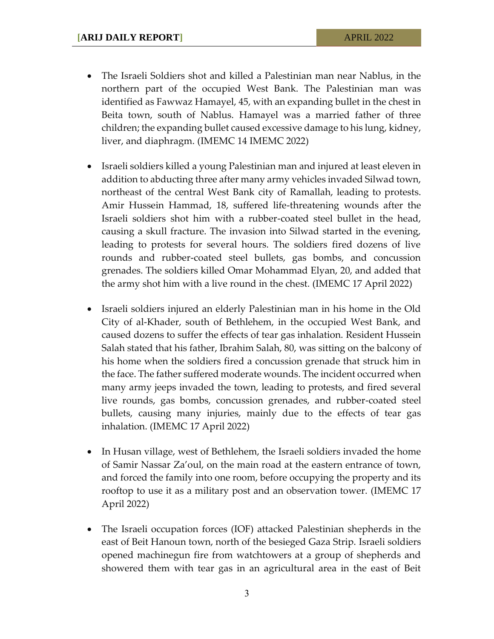- The Israeli Soldiers shot and killed a Palestinian man near Nablus, in the northern part of the occupied West Bank. The Palestinian man was identified as Fawwaz Hamayel, 45, with an expanding bullet in the chest in Beita town, south of Nablus. Hamayel was a married father of three children; the expanding bullet caused excessive damage to his lung, kidney, liver, and diaphragm. (IMEMC 14 IMEMC 2022)
- Israeli soldiers killed a young Palestinian man and injured at least eleven in addition to abducting three after many army vehicles invaded Silwad town, northeast of the central West Bank city of Ramallah, leading to protests. Amir Hussein Hammad, 18, suffered life-threatening wounds after the Israeli soldiers shot him with a rubber-coated steel bullet in the head, causing a skull fracture. The invasion into Silwad started in the evening, leading to protests for several hours. The soldiers fired dozens of live rounds and rubber-coated steel bullets, gas bombs, and concussion grenades. The soldiers killed Omar Mohammad Elyan, 20, and added that the army shot him with a live round in the chest. (IMEMC 17 April 2022)
- Israeli soldiers injured an elderly Palestinian man in his home in the Old City of al-Khader, south of Bethlehem, in the occupied West Bank, and caused dozens to suffer the effects of tear gas inhalation. Resident Hussein Salah stated that his father, Ibrahim Salah, 80, was sitting on the balcony of his home when the soldiers fired a concussion grenade that struck him in the face. The father suffered moderate wounds. The incident occurred when many army jeeps invaded the town, leading to protests, and fired several live rounds, gas bombs, concussion grenades, and rubber-coated steel bullets, causing many injuries, mainly due to the effects of tear gas inhalation. (IMEMC 17 April 2022)
- In Husan village, west of Bethlehem, the Israeli soldiers invaded the home of Samir Nassar Za'oul, on the main road at the eastern entrance of town, and forced the family into one room, before occupying the property and its rooftop to use it as a military post and an observation tower. (IMEMC 17 April 2022)
- The Israeli occupation forces (IOF) attacked Palestinian shepherds in the east of Beit Hanoun town, north of the besieged Gaza Strip. Israeli soldiers opened machinegun fire from watchtowers at a group of shepherds and showered them with tear gas in an agricultural area in the east of Beit